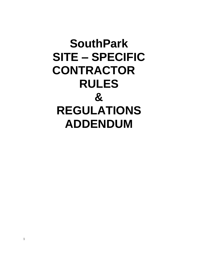# **SouthPark SITE – SPECIFIC CONTRACTOR RULES & REGULATIONS ADDENDUM**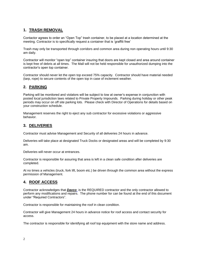## **1. TRASH REMOVAL**

Contactor agrees to order an "Open Top" trash container, to be placed at a location determined at the meeting. Contractor is to specifically request a container that is 'graffiti free'

Trash may only be transported through corridors and common area during non operating hours until 9:30 am daily.

Contractor will monitor "open top" container insuring that doors are kept closed and area around container is kept free of debris at all times. The Mall will not be held responsible for unauthorized dumping into the contractor's open top container.

Contractor should never let the open top exceed 75% capacity. Contractor should have material needed (tarp, rope) to secure contents of the open top in case of inclement weather.

## **2. PARKING**

Parking will be monitored and violators will be subject to tow at owner's expense in conjunction with posted local jurisdiction laws related to Private Property Impounds. Parking during holiday or other peak periods may occur on off site parking lots. Please check with Director of Operations for details based on your construction schedule.

Management reserves the right to eject any sub contractor for excessive violations or aggressive behavior.

#### **3. DELIVERIES**

Contractor must advise Management and Security of all deliveries 24 hours in advance.

Deliveries will take place at designated Truck Docks or designated areas and will be completed by 9:30 am.

Deliveries will never occur at entrances.

Contractor is responsible for assuring that area is left in a clean safe condition after deliveries are completed.

At no times a vehicles (truck, fork lift, boom etc.) be driven through the common area without the express permission of Management.

#### **4. ROOF ACCESS**

Contractor acknowledges that *Davco* is the REQUIRED contractor and the only contractor allowed to perform any modifications and repairs. The phone number for can be found at the end of this document under "Required Contractors".

Contractor is responsible for maintaining the roof in clean condition.

Contractor will give Management 24 hours in advance notice for roof access and contact security for access.

The contractor is responsible for identifying all roof top equipment with the store name and address.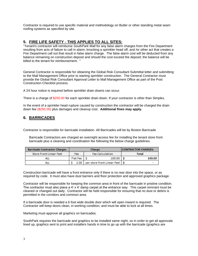Contractor is required to use specific material and methodology on Butler or other standing metal seam roofing systems as specified by site.

#### **5. FIRE LIFE SAFETY - THIS APPLIES TO ALL SITES:**

"Tenant's contractor will reimburse *SouthPark Mall* for any false alarm charges from the Fire Department resulting from acts of failure to call in alarm, knocking a sprinkler head off, and /or other act that creates a Fire Department call out that result in false alarm charge. The false alarm cost will be deducted from any balance remaining on construction deposit and should the cost exceed the deposit; the balance will be billed to the tenant for reimbursement. "

General Contractor is responsible for obtaining the Global Risk Consultant Submittal letter and submitting to the Mall Management Office prior to starting sprinkler construction. The General Contractor must provide the Global Risk Consultant Approval Letter to Mall Management Office as part of the Post Construction Checklist process.

A 24 hour notice is required before sprinkler drain downs can occur.

There is a charge of \$250.00 for each sprinkler drain down. If your contractor is other than Simplex.

In the event of a sprinkler head rupture caused by construction the contractor will be charged the drain down fee (\$250.00) plus damages and cleanup cost. **Additional fines may apply.**

## **6. BARRICADES**

Contractor is responsible for barricade installation. All Barricades will be by Boston Barricade

Barricade Contractors are charged an overnight access fee for installing the tenant store front barricade plus a cleaning and coordination fee following the below charge guidelines.

| <b>Barricade Contractor Charges</b> | <b>Charge</b> |                                       | <b>CONTRACTOR CHARGES:</b> |
|-------------------------------------|---------------|---------------------------------------|----------------------------|
| <b>Store Front Linear Feet</b>      | Fee           | <b>Fee Calculation</b>                | Total                      |
| ALL                                 | Flat Fee   S  | 100.00                                | 100.00                     |
| ALL                                 |               | 2.00 per store front Linear Feet   \$ |                            |

Construction barricade will have a front entrance only if there is no rear door into the space, or as required by code. It must also have dust barriers and floor protection and approved graphics package.

Contractor will be responsible for keeping the common area in front of the barricade in pristine condition. The contractor must also place a 4' x 4' damp carpet at the entrance way. This carpet remnant must be cleaned or changed out daily. Contractor will be held responsible for ensuring that no dust or debris is permitted in the corridors and common area.

If a barricade door is needed a 6 foot wide double door which will open inward is required. The Contractor will keep doors clean, in working condition, and must be able to lock at all times.

Marketing must approve all graphics on barricades.

SouthPark requires the barricade and graphics to be installed same night, so in order to get all approvals lined up, graphics sent to print and installers hands in time to go up with the barricade (graphics are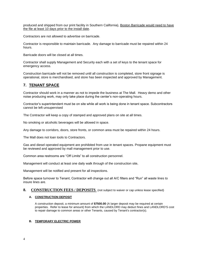produced and shipped from our print facility in Southern California), Boston Barricade would need to have the file at least 10 days prior to the install date.

Contractors are not allowed to advertise on barricade.

Contractor is responsible to maintain barricade. Any damage to barricade must be repaired within 24 hours.

Barricade doors will be closed at all times.

Contractor shall supply Management and Security each with a set of keys to the tenant space for emergency access.

Construction barricade will not be removed until all construction is completed, store front signage is operational, store is merchandised, and store has been inspected and approved by Management.

## **7. TENANT SPACE**

Contractor should work in a manner as not to impede the business at The Mall. Heavy demo and other noise producing work, may only take place during the center's non-operating hours.

Contractor's superintendent must be on site while all work is being done in tenant space. Subcontractors cannot be left unsupervised

The Contractor will keep a copy of stamped and approved plans on site at all times.

No smoking or alcoholic beverages will be allowed in space.

Any damage to corridors, doors, store fronts, or common area must be repaired within 24 hours.

The Mall does not loan tools to Contractors.

Gas and diesel operated equipment are prohibited from use in tenant spaces. Propane equipment must be reviewed and approved by mall management prior to use.

Common area restrooms are "Off Limits" to all construction personnel.

Management will conduct at least one daily walk through of the construction site,

Management will be notified and present for all inspections.

Before space turnover to Tenant, Contractor will change out all A/C filters and "Run" all waste lines to insure lines are.

#### **8. CONSTRUCTION FEES / DEPOSITS** (not subject to waiver or cap unless lease specified)

#### **A. CONSTRUCTION DEPOSIT**

A construction deposit, a minimum amount of **\$7500.00** (A larger deposit may be required at certain properties. Refer to lease for amount) from which the LANDLORD may deduct fines and LANDLORD'S cost to repair damage to common areas or other Tenants, caused by Tenant's contractor(s).

#### **B. TEMPORARY ELECTRIC POWER**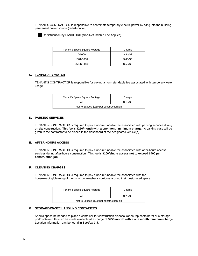TENANT'S CONTRACTOR is responsible to coordinate temporary electric power by tying into the building permanent power source (redistribution).



Redistribution by LANDLORD (Non-Refundable Fee Applies)

| Tenant's Space Square Footage | Charge   |
|-------------------------------|----------|
| 0-1000                        | \$.34/SF |
| 1001-5000                     | \$.43/SF |
| <b>OVER 5000</b>              | \$.53/SF |

#### **C. TEMPORARY WATER**

TENANT'S CONTRACTOR is responsible for paying a non-refundable fee associated with temporary water usage.

| Tenant's Space Square Footage            | Charge   |
|------------------------------------------|----------|
| All                                      | \$.10/SF |
| Not to Exceed \$250 per construction job |          |

#### **D. PARKING SERVICES**

TENANT's CONTRACTOR is required to pay a non-refundable fee associated with parking services during on site construction. This fee is **\$250/month with a one month minimum charge.** A parking pass will be given to the contractor to be placed in the dashboard of the designated vehicle(s).

#### **E. AFTER-HOURS ACCESS**

TENANT's CONTRACTOR is required to pay a non-refundable fee associated with after-hours access services during after-hours construction. This fee is **\$100/single access not to exceed \$400 per construction job.** 

#### **F. CLEANING CHARGES**

TENANT's CONTRACTOR is required to pay a non-refundable fee associated with the housekeeping/cleaning of the common area/back corridors around their designated space

| Tenant's Space Square Footage            | Charge   |  |
|------------------------------------------|----------|--|
| All                                      | \$.20/SF |  |
| Not to Exceed \$500 per construction job |          |  |

#### **G. STORAGE/WASTE HANDLING CONTAINERS**

Should space be needed to place a container for construction disposal (open-top containers) or a storage pod/container, this can be made available at a charge of **\$250/month with a one month minimum charge**. Location information can be found in *Section 3.3*.

.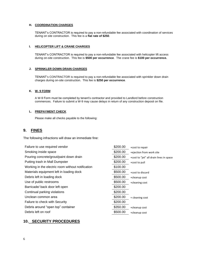#### **H. COORDINATION CHARGES**

TENANT's CONTRACTOR is required to pay a non-refundable fee associated with coordination of services during on site construction. This fee is a **flat rate of \$250**.

#### **I. HELICOPTER LIFT & CRANE CHARGES**

TENANT's CONTRACTOR is required to pay a non-refundable fee associated with helicopter lift access during on-site construction. This fee is **\$500 per occurrence**. The crane fee is **\$100 per occurrence.** 

#### **J. SPRINKLER DOWN DRAIN CHARGES**

TENANT's CONTRACTOR is required to pay a non-refundable fee associated with sprinkler down drain charges during on-site construction. This fee is **\$250 per occurrence**.

#### **K. W- 9 FORM**

A W-9 Form must be completed by tenant's contractor and provided to Landlord before construction commences. Failure to submit a W-9 may cause delays in return of any construction deposit on file.

#### **L. PREPAYMENT CHECK**

Please make all checks payable to the following:

#### **9. FINES**

The following infractions will draw an immediate fine:

| Failure to use required vendor                    | \$200.00 | +cost to repair                         |
|---------------------------------------------------|----------|-----------------------------------------|
| Smoking inside space                              | \$200.00 | +ejection from work site                |
| Pouring concrete/grout/paint down drain           | \$200.00 | +cost to "jet" all drain lines in space |
| Putting trash in Mall Dumpster                    | \$200.00 | +cost to pull                           |
| Working in the electric room without notification | \$100.00 |                                         |
| Materials equipment left in loading dock          | \$500.00 | +cost to discard                        |
| Debris left in loading dock                       | \$500.00 | +cleanup cost                           |
| Use of public restrooms                           | \$500.00 | +cleaning cost                          |
| Barricade/back door left open                     | \$200.00 |                                         |
| Continual parking violations                      | \$200.00 |                                         |
| Unclean common area                               | \$200.00 | + cleaning cost                         |
| Failure to check with Security                    | \$200.00 |                                         |
| Debris around "open top" container                | \$350.00 | +cleanup cost                           |
| Debris left on roof                               | \$500.00 | +cleanup cost                           |

#### **10. SECURITY PROCEDURES**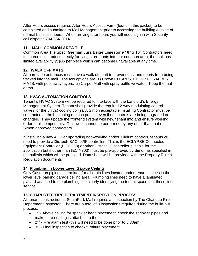After Hours access requires After Hours Access Form (found in this packet) to be completed and submitted to Mall Management prior to accessing the building outside of normal business hours. When arriving after hours you will need sign in with Security call dispatch 704-364-3014.

## **11. MALL COMMON AREA TILE**

Common Area Tile Spec: **German Jura Beige Limestone 16" x 16"** Contractors need to source this product directly for tying store fronts into our common area, the mall has limited availability @\$35 per piece which can become unavailable at any time.

## **12. WALK OFF MATS**

All barricade entrances must have a walk off matt to prevent dust and debris from being tracked into the mall. The two options are: 1) Crown CLEAN STEP DIRT GRABBER MATS, with peel away layers. 2) Carpet Matt with spray bottle w/ water. Keep the mat damp.

## **13. HVAC AUTOMATION CONTROLS**

Tenant's HVAC System will be required to interface with the Landlord's Energy Management System. Tenant shall provide the required 2-way modulating control valves for the unit(s) cooling coil(s). A Simon acceptable installing Contractor must be contracted at the beginning of each project even if no controls are being upgraded or changed. They update the frontend system with new tenant info and ensure working order of all components. This work cannot be performed by any other than that of Simon approved contractors.

If installing a new AHU or upgrading non-working and/or Tridium controls, tenants will need to provide a **Distech** BACnet/IP controller. This is the ECLYPSE Connected Equipment Controller (ECY-303) or other Distech IP controller suitable for the application but if other than (ECY-303) must be pre-approved by Simon as specified in the bulletin which will be provided. Data sheet will be provided with the Property Rule & Regulation documents

## **14. Plumbing in Lower Level Garage Ceiling**

Only Cast Iron piping is permitted for all drain lines located under tenant spaces in the lower level parking garage ceiling area. Plumbing lines need to have a laminated placard attached to the plumbing line clearly identifying the tenant space that those lines service.

## **15. CHARLOTTE FIRE DEPARTMENT INSPECTION PROCESS**

All tenant construction at SouthPark Mall requires an inspection by The Charlotte Fire Department Inspector. There are a total of 3 inspections required during the build-out process.

- 1<sup>st</sup> Above ceiling for sprinkler head placement, check the sprinkler pipes and make sure nothing is attached to them.
- $\bullet$  2<sup>nd</sup> Fire alarm test (this will need to be done prior to 8:30am)
- 3<sup>rd</sup> Final inspection to check furniture placement.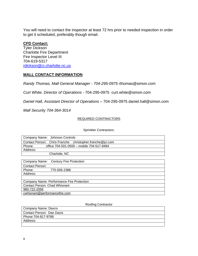You will need to contact the inspector at least 72 hrs prior to needed inspection in order to get it scheduled, preferably though email.

## **CFD Contact:**

Tyler Dickson Charlotte Fire Department Fire Inspector Level III 704-619-5317 [rdickson@ci.charlotte.nc.us](mailto:rdickson@ci.charlotte.nc.us)

## **MALL CONTACT INFORMATION**

*Randy Thomas, Mall General Manager - 704-295-0975* rthomas@simon.com

*Curt White, Director of Operations* - 704-295-0975 curt.white@simon.com

*Daniel Hall, Assistant Director of Operations* – 704-295-0975 daniel.hall@simon.com

*Mall Security 704-364-3014*

#### REQUIRED CONTRACTORS

Sprinkler Contractors:

| Company Name: Johnson Controls                            |
|-----------------------------------------------------------|
| Contact Person: Chris Franche christopher.franche@jci.com |
| office 704-501-0500 - mobile 704-517-8484<br>Phone:       |
| Address:                                                  |
| Charlotte, NC                                             |
|                                                           |

| Company Name: Century Fire Protection     |
|-------------------------------------------|
| <b>Contact Person:</b>                    |
| Phone:<br>770-506-2388                    |
| Address:                                  |
|                                           |
| Company Name: Performance Fire Protection |
| <b>Contact Person: Chad Whisnant</b>      |
| 980-722-2056                              |
| cwhisnant@performancefire.com             |

Roofing Contractor

| Company Name: Davco       |  |
|---------------------------|--|
| Contact Person: Dan Davis |  |
| Phone: 704-817-9788       |  |
| Address:                  |  |
|                           |  |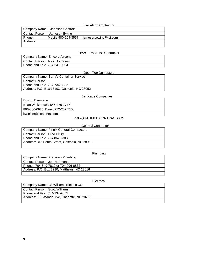#### Fire Alarm Contractor

|          | Company Name: Johnson Controls |                       |
|----------|--------------------------------|-----------------------|
|          | Contact Person: Jameson Ewing  |                       |
| Phone:   | Mobile 980-264-3557            | jameson.ewing@jci.com |
| Address: |                                |                       |
|          |                                |                       |

#### HVAC EMS/BMS Contractor

Company Name: Emcore Aircond Contact Person: Nick Goudoras Phone and Fax: 704-641-0304

#### Open Top Dumpsters

| Company Name: Berry's Container Service     |
|---------------------------------------------|
| Contact Person:                             |
| Phone and Fax: 704-734-8382                 |
| Address: P.O. Box 13103, Gastonia, NC 28052 |
|                                             |

#### Barricade Companies

| bwinkler@bostonrs.com             |
|-----------------------------------|
| 866-866-0925, Direct 772-257.7158 |
| Brian Winkler cell: 845-476-7777  |
| <b>Boston Barricade</b>           |

#### PRE-QUALIFIED CONTRACTORS

#### General Contractor

| <b>Company Name: Pinnix General Contractors</b> |
|-------------------------------------------------|
| Contact Person: Brad Drury                      |
| Phone and Fax: 704.867.6383                     |
| Address: 315 South Street, Gastonia, NC 28053   |
|                                                 |

#### Plumbing

#### Electrical

| Company Name: LS Williams Electric CO        |
|----------------------------------------------|
| Contact Person: Scott Williams               |
| Phone and Fax: 704-334-9655                  |
| Address: 138 Atando Ave, Charlotte, NC 28206 |
|                                              |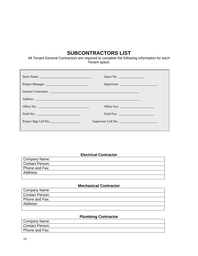## **SUBCONTRACTORS LIST**

All Tenant General Contractors are required to complete the following information for each Tenant space.

| Project Mgr Cell No. | Supervisor Cell No. |
|----------------------|---------------------|
|                      |                     |

#### **Electrical Contractor**

| Company Name:   |
|-----------------|
| Contact Person: |
| Phone and Fax:  |
| Address:        |
|                 |

## **Mechanical Contractor**

| Company Name:   |  |
|-----------------|--|
| Contact Person: |  |
| Phone and Fax:  |  |
| Address:        |  |
|                 |  |

## **Plumbing Contractor**

| Company Name:   |  |
|-----------------|--|
| Contact Person: |  |
| Phone and Fax:  |  |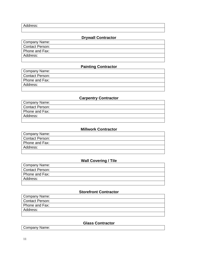Address:

## **Drywall Contractor**

| Company Name:   |  |
|-----------------|--|
| Contact Person: |  |
| Phone and Fax:  |  |
| Address:        |  |
|                 |  |

## **Painting Contractor**

| Company Name:          |  |
|------------------------|--|
| <b>Contact Person:</b> |  |
| Phone and Fax:         |  |
| Address:               |  |
|                        |  |

## **Carpentry Contractor**

| Company Name:   |
|-----------------|
| Contact Person: |
| Phone and Fax:  |
| Address:        |
|                 |

#### **Millwork Contractor**

| Company Name:          |
|------------------------|
| <b>Contact Person:</b> |
| Phone and Fax:         |
| Address:               |
|                        |

## **Wall Covering / Tile**

| Company Name:   |
|-----------------|
| Contact Person: |
| Phone and Fax:  |
| Address:        |
|                 |

#### **Storefront Contractor**

| Company Name:          |  |  |
|------------------------|--|--|
| <b>Contact Person:</b> |  |  |
| Phone and Fax:         |  |  |
| Address:               |  |  |
|                        |  |  |

## **Glass Contractor**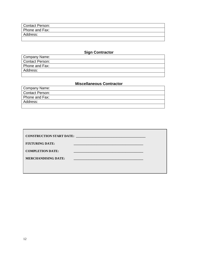| Contact Person: |  |  |
|-----------------|--|--|
| Phone and Fax:  |  |  |
| Address:        |  |  |
|                 |  |  |

## **Sign Contractor**

| Company Name:          |
|------------------------|
| <b>Contact Person:</b> |
| Phone and Fax:         |
| Address:               |
|                        |

## **Miscellaneous Contractor**

| Company Name:          |  |
|------------------------|--|
| <b>Contact Person:</b> |  |
| Phone and Fax:         |  |
| Address:               |  |
|                        |  |

| <b>CONSTRUCTION START DATE:</b> |  |
|---------------------------------|--|
| <b>FIXTURING DATE:</b>          |  |
| <b>COMPLETION DATE:</b>         |  |
| <b>MERCHANDISING DATE:</b>      |  |
|                                 |  |
|                                 |  |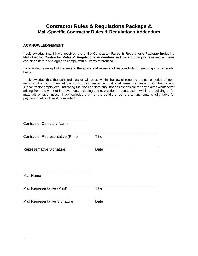## **Contractor Rules & Regulations Package & Mall-Specific Contractor Rules & Regulations Addendum**

#### **ACKNOWLEDGEMENT**

I acknowledge that I have received the entire **Contractor Rules & Regulations Package including Mall-Specific Contractor Rules & Regulations Addendum** and have thoroughly reviewed all items contained herein and agree to comply with all items referenced.

I acknowledge receipt of the keys to the space and assume all responsibility for securing it on a regular basis.

I acknowledge that the Landlord has or will post, within the lawful required period, a notice of nonresponsibility within view of the construction entrance, that shall remain in view of Contractor and subcontractor employees, indicating that the Landlord shall not be responsible for any claims whatsoever arising from the work of improvement, including demo, erection or construction within the building or for materials or labor used. I acknowledge that not the Landlord, but the tenant remains fully liable for payment of all such work completed.

| <b>Contractor Company Name</b>           |              |
|------------------------------------------|--------------|
| <b>Contractor Representative (Print)</b> | <b>Title</b> |
| Representative Signature                 | Date         |
| <b>Mall Name</b>                         |              |
| Mall Representative (Print)              | <b>Title</b> |
| Mall Representative Signature            | Date         |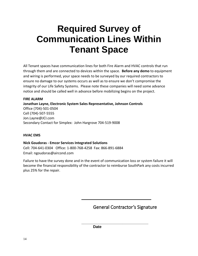## **Required Survey of Communication Lines Within Tenant Space**

All Tenant spaces have communication lines for both Fire Alarm and HVAC controls that run through them and are connected to devices within the space. **Before any demo** to equipment and wiring is performed, your space needs to be surveyed by our required contractors to ensure no damage to our systems occurs as well as to ensure we don't compromise the integrity of our Life Safety Systems. Please note these companies will need some advance notice and should be called well in advance before mobilizing begins on the project.

**FIRE ALARM Jonathan Layne, Electronic System Sales Representative, Johnson Controls** Office (704)-501-0504 Cell (704)-507-5555 Jon.Layne@JCI.com Secondary Contact for Simplex: John Hargrove 704-519-9008

#### **HVAC EMS**

**Nick Goudoras - Emcor Services Integrated Solutions** Cell: 704-641-0304 Office: 1-800-768-4258 Fax: 866-891-6884 Email: ngoudoras@aircond.com

Failure to have the survey done and in the event of communication loss or system failure it will become the financial responsibility of the contractor to reimburse SouthPark any costs incurred plus 25% for the repair.

General Contractor's Signature

**\_\_\_\_\_\_\_\_\_\_\_\_\_\_\_\_\_\_\_\_\_\_\_\_\_\_\_\_\_\_\_**

**Date**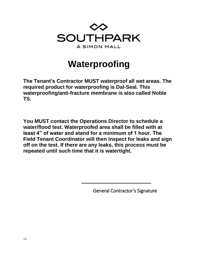

## **Waterproofing**

**The Tenant's Contractor MUST waterproof all wet areas. The required product for waterproofing is Dal-Seal. This waterproofing/anti-fracture membrane is also called Noble TS.** 

**You MUST contact the Operations Director to schedule a water/flood test. Waterproofed area shall be filled with at least 4" of water and stand for a minimum of 1 hour. The Field Tenant Coordinator will then inspect for leaks and sign off on the test. If there are any leaks, this process must be repeated until such time that it is watertight.**

General Contractor's Signature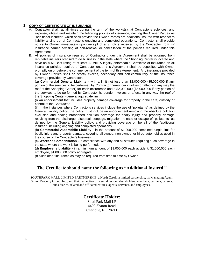#### **1. COPY OF CERTIFICATE OF INSURANCE**

- A. Contractor shall, at all times during the term of the works(s), at Contractor's sole cost and expense, obtain and maintain the following policies of insurance, naming the Owner Parties as "additional insured", which shall provide the Owner Parties are additional insured with respect to liability arising out of Contractor's ongoing and completed operations. Contractor shall provide notice to Owner immediately upon receipt of any notice received by the Contractor from its' insurance carrier advising of non-renewal or cancellation of the policies required under this Agreement.
- B. All policies of insurance required of Contractor under this Agreement shall be obtained from reputable insurers licensed to do business in the state where the Shopping Center is located and have an A.M. Best rating of at least A- VIII. A legally enforceable Certificate of Insurance on all insurance policies required of Contractor under this Agreement shall be deposited with Owner promptly on or before the commencement of the term of this Agreement. Any insurance provided by Owner Parties shall be strictly excess, secondary and non-contributory of the insurance coverage provided by Contractor.

(a) **Commercial General Liability -** with a limit not less than \$2,000,000 (\$5,000,000 if any portion of the services to be performed by Contractor hereunder involves or affects in any way the roof of the Shopping Center) for each occurrence and a \$2,000,000 (\$5,000,000 if any portion of the services to be performed by Contractor hereunder involves or affects in any way the roof of the Shopping Center) general aggregate limit.

(i) An endorsement that includes property damage coverage for property in the care, custody or control of the Contractor.

(ii) In the instances where Contractor's services include the use of "pollutants" as defined by the General Liability policy, the policy must include an endorsement removing the absolute pollution exclusion and adding broadened pollution coverage for bodily injury and property damage resulting from the discharge, dispersal, seepage, migration, release or escape of "pollutants" as defined by the General Liability policy, and providing coverage on behalf of the "additional insured", including ongoing and completed operations.

(b) **Commercial Automobile Liability -** in the amount of \$1,000,000 combined single limit for bodily injury and property damage, covering all owned, non-owned, or hired automobiles used in the course of the Contractor's business.

(c) **Worker's Compensation -** in compliance with any and all statutes requiring such coverage in the state where the work is being performed.

(d) **Employer's Liability -** in a minimum amount of \$1,000,000 each accident, \$1,000,000 each employee, \$1,000,000 policy aggregate.

(f) Such other insurance as may be required from time to time by Owner.

## **The Certificate should name the following as "Additional Insured."**

SOUTHPARK MALL LIMITED PARTNERSHIP, a North Carolina limited partnership, its Managing Agent, Simon Property Group, Inc., and their respective officers, directors, shareholders, members, partners, parents, subsidiaries, related and affiliated entities, agents, servants, and employees.

#### **Certificate Holder:**

SouthPark Mall LP 4400 Sharon Road Charlotte, NC 28211